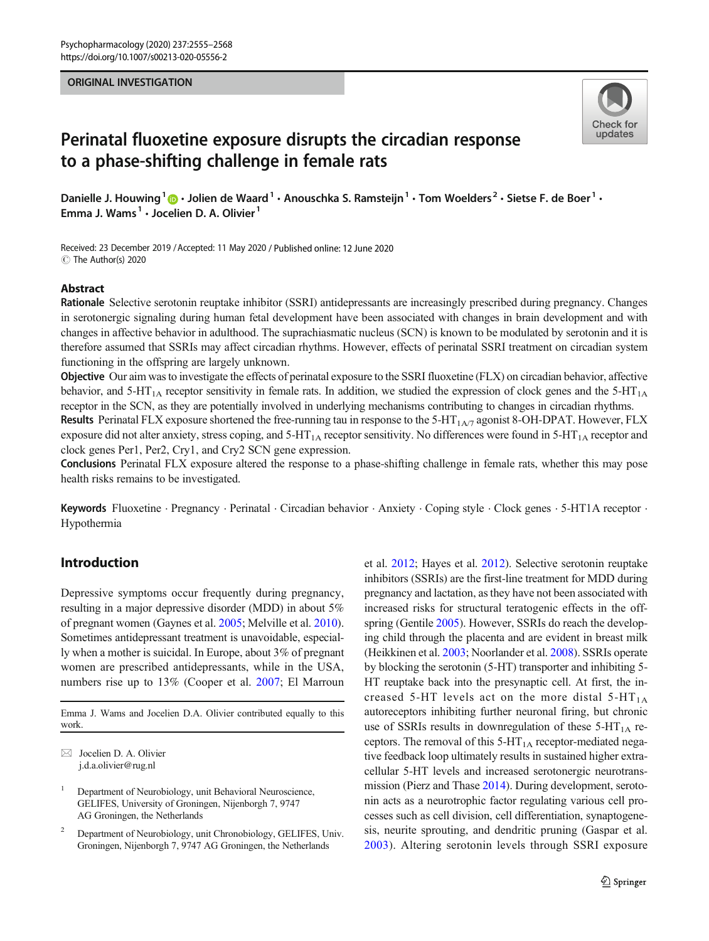## ORIGINAL INVESTIGATION



# Perinatal fluoxetine exposure disrupts the circadian response to a phase-shifting challenge in female rats

Danielle J. Houwing<sup>1</sup>  $\cdot$  Jolien de Waard<sup>1</sup>  $\cdot$  Anouschka S. Ramsteijn<sup>1</sup>  $\cdot$  Tom Woelders<sup>2</sup>  $\cdot$  Sietse F. de Boer<sup>1</sup>  $\cdot$ Emma J. Wams<sup>1</sup> · Jocelien D. A. Olivier<sup>1</sup>

Received: 23 December 2019 /Accepted: 11 May 2020 / Published online: 12 June 2020 C The Author(s) 2020

## Abstract

Rationale Selective serotonin reuptake inhibitor (SSRI) antidepressants are increasingly prescribed during pregnancy. Changes in serotonergic signaling during human fetal development have been associated with changes in brain development and with changes in affective behavior in adulthood. The suprachiasmatic nucleus (SCN) is known to be modulated by serotonin and it is therefore assumed that SSRIs may affect circadian rhythms. However, effects of perinatal SSRI treatment on circadian system functioning in the offspring are largely unknown.

Objective Our aim was to investigate the effects of perinatal exposure to the SSRI fluoxetine (FLX) on circadian behavior, affective behavior, and  $5-HT_{1A}$  receptor sensitivity in female rats. In addition, we studied the expression of clock genes and the  $5-HT_{1A}$ receptor in the SCN, as they are potentially involved in underlying mechanisms contributing to changes in circadian rhythms.

Results Perinatal FLX exposure shortened the free-running tau in response to the 5-HT<sub>1A/7</sub> agonist 8-OH-DPAT. However, FLX exposure did not alter anxiety, stress coping, and  $5-HT<sub>1A</sub>$  receptor sensitivity. No differences were found in  $5-HT<sub>1A</sub>$  receptor and clock genes Per1, Per2, Cry1, and Cry2 SCN gene expression.

Conclusions Perinatal FLX exposure altered the response to a phase-shifting challenge in female rats, whether this may pose health risks remains to be investigated.

Keywords Fluoxetine . Pregnancy . Perinatal . Circadian behavior . Anxiety . Coping style . Clock genes . 5-HT1A receptor . Hypothermia

## Introduction

Depressive symptoms occur frequently during pregnancy, resulting in a major depressive disorder (MDD) in about 5% of pregnant women (Gaynes et al. [2005](#page-11-0); Melville et al. [2010\)](#page-12-0). Sometimes antidepressant treatment is unavoidable, especially when a mother is suicidal. In Europe, about 3% of pregnant women are prescribed antidepressants, while in the USA, numbers rise up to 13% (Cooper et al. [2007](#page-11-0); El Marroun

Emma J. Wams and Jocelien D.A. Olivier contributed equally to this work.

 $\boxtimes$  Jocelien D. A. Olivier [j.d.a.olivier@rug.nl](mailto:j.d.a.olivier@rug.nl)

<sup>1</sup> Department of Neurobiology, unit Behavioral Neuroscience, GELIFES, University of Groningen, Nijenborgh 7, 9747 AG Groningen, the Netherlands

<sup>2</sup> Department of Neurobiology, unit Chronobiology, GELIFES, Univ. Groningen, Nijenborgh 7, 9747 AG Groningen, the Netherlands

et al. [2012](#page-11-0); Hayes et al. [2012](#page-11-0)). Selective serotonin reuptake inhibitors (SSRIs) are the first-line treatment for MDD during pregnancy and lactation, as they have not been associated with increased risks for structural teratogenic effects in the offspring (Gentile [2005](#page-11-0)). However, SSRIs do reach the developing child through the placenta and are evident in breast milk (Heikkinen et al. [2003](#page-11-0); Noorlander et al. [2008\)](#page-12-0). SSRIs operate by blocking the serotonin (5-HT) transporter and inhibiting 5- HT reuptake back into the presynaptic cell. At first, the increased 5-HT levels act on the more distal  $5-HT_{1A}$ autoreceptors inhibiting further neuronal firing, but chronic use of SSRIs results in downregulation of these  $5-HT<sub>1A</sub>$  receptors. The removal of this  $5-HT<sub>1A</sub>$  receptor-mediated negative feedback loop ultimately results in sustained higher extracellular 5-HT levels and increased serotonergic neurotransmission (Pierz and Thase [2014](#page-12-0)). During development, serotonin acts as a neurotrophic factor regulating various cell processes such as cell division, cell differentiation, synaptogenesis, neurite sprouting, and dendritic pruning (Gaspar et al. [2003\)](#page-11-0). Altering serotonin levels through SSRI exposure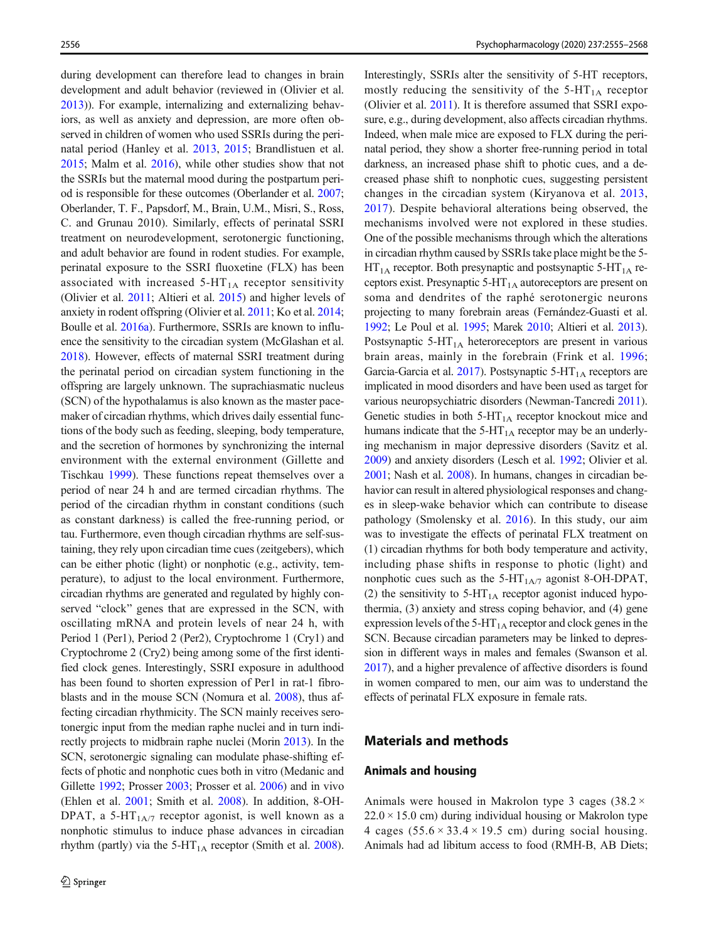during development can therefore lead to changes in brain development and adult behavior (reviewed in (Olivier et al. [2013\)](#page-12-0)). For example, internalizing and externalizing behaviors, as well as anxiety and depression, are more often observed in children of women who used SSRIs during the perinatal period (Hanley et al. [2013](#page-11-0), [2015](#page-11-0); Brandlistuen et al. [2015;](#page-11-0) Malm et al. [2016\)](#page-12-0), while other studies show that not the SSRIs but the maternal mood during the postpartum period is responsible for these outcomes (Oberlander et al. [2007](#page-12-0); Oberlander, T. F., Papsdorf, M., Brain, U.M., Misri, S., Ross, C. and Grunau 2010). Similarly, effects of perinatal SSRI treatment on neurodevelopment, serotonergic functioning, and adult behavior are found in rodent studies. For example, perinatal exposure to the SSRI fluoxetine (FLX) has been associated with increased  $5-HT<sub>1A</sub>$  receptor sensitivity (Olivier et al. [2011;](#page-12-0) Altieri et al. [2015](#page-11-0)) and higher levels of anxiety in rodent offspring (Olivier et al. [2011;](#page-12-0) Ko et al. [2014](#page-12-0); Boulle et al. [2016a](#page-11-0)). Furthermore, SSRIs are known to influence the sensitivity to the circadian system (McGlashan et al. [2018\)](#page-12-0). However, effects of maternal SSRI treatment during the perinatal period on circadian system functioning in the offspring are largely unknown. The suprachiasmatic nucleus (SCN) of the hypothalamus is also known as the master pacemaker of circadian rhythms, which drives daily essential functions of the body such as feeding, sleeping, body temperature, and the secretion of hormones by synchronizing the internal environment with the external environment (Gillette and Tischkau [1999\)](#page-11-0). These functions repeat themselves over a period of near 24 h and are termed circadian rhythms. The period of the circadian rhythm in constant conditions (such as constant darkness) is called the free-running period, or tau. Furthermore, even though circadian rhythms are self-sustaining, they rely upon circadian time cues (zeitgebers), which can be either photic (light) or nonphotic (e.g., activity, temperature), to adjust to the local environment. Furthermore, circadian rhythms are generated and regulated by highly conserved "clock" genes that are expressed in the SCN, with oscillating mRNA and protein levels of near 24 h, with Period 1 (Per1), Period 2 (Per2), Cryptochrome 1 (Cry1) and Cryptochrome 2 (Cry2) being among some of the first identified clock genes. Interestingly, SSRI exposure in adulthood has been found to shorten expression of Per1 in rat-1 fibroblasts and in the mouse SCN (Nomura et al. [2008](#page-12-0)), thus affecting circadian rhythmicity. The SCN mainly receives serotonergic input from the median raphe nuclei and in turn indirectly projects to midbrain raphe nuclei (Morin [2013\)](#page-12-0). In the SCN, serotonergic signaling can modulate phase-shifting effects of photic and nonphotic cues both in vitro (Medanic and Gillette [1992](#page-12-0); Prosser [2003;](#page-12-0) Prosser et al. [2006\)](#page-12-0) and in vivo (Ehlen et al. [2001](#page-11-0); Smith et al. [2008](#page-13-0)). In addition, 8-OH-DPAT, a 5-HT<sub>1A/7</sub> receptor agonist, is well known as a nonphotic stimulus to induce phase advances in circadian rhythm (partly) via the  $5-HT_{1A}$  receptor (Smith et al. [2008\)](#page-13-0).

Interestingly, SSRIs alter the sensitivity of 5-HT receptors, mostly reducing the sensitivity of the  $5-HT_{1A}$  receptor (Olivier et al. [2011\)](#page-12-0). It is therefore assumed that SSRI exposure, e.g., during development, also affects circadian rhythms. Indeed, when male mice are exposed to FLX during the perinatal period, they show a shorter free-running period in total darkness, an increased phase shift to photic cues, and a decreased phase shift to nonphotic cues, suggesting persistent changes in the circadian system (Kiryanova et al. [2013,](#page-12-0) [2017](#page-12-0)). Despite behavioral alterations being observed, the mechanisms involved were not explored in these studies. One of the possible mechanisms through which the alterations in circadian rhythm caused by SSRIs take place might be the 5-  $HT_{1A}$  receptor. Both presynaptic and postsynaptic 5-HT<sub>1A</sub> receptors exist. Presynaptic  $5-HT<sub>1A</sub>$  autoreceptors are present on soma and dendrites of the raphé serotonergic neurons projecting to many forebrain areas (Fernández-Guasti et al. [1992;](#page-11-0) Le Poul et al. [1995](#page-12-0); Marek [2010](#page-12-0); Altieri et al. [2013\)](#page-11-0). Postsynaptic  $5-HT<sub>1A</sub>$  heteroreceptors are present in various brain areas, mainly in the forebrain (Frink et al. [1996;](#page-11-0) Garcia-Garcia et al. [2017](#page-11-0)). Postsynaptic  $5-HT<sub>1A</sub>$  receptors are implicated in mood disorders and have been used as target for various neuropsychiatric disorders (Newman-Tancredi [2011\)](#page-12-0). Genetic studies in both  $5-HT_{1A}$  receptor knockout mice and humans indicate that the  $5-HT_{1A}$  receptor may be an underlying mechanism in major depressive disorders (Savitz et al. [2009\)](#page-13-0) and anxiety disorders (Lesch et al. [1992](#page-12-0); Olivier et al. [2001;](#page-12-0) Nash et al. [2008](#page-12-0)). In humans, changes in circadian behavior can result in altered physiological responses and changes in sleep-wake behavior which can contribute to disease pathology (Smolensky et al. [2016\)](#page-13-0). In this study, our aim was to investigate the effects of perinatal FLX treatment on (1) circadian rhythms for both body temperature and activity, including phase shifts in response to photic (light) and nonphotic cues such as the  $5-HT<sub>1A/7</sub>$  agonist 8-OH-DPAT, (2) the sensitivity to  $5-HT<sub>1A</sub>$  receptor agonist induced hypothermia, (3) anxiety and stress coping behavior, and (4) gene expression levels of the  $5-HT_{1A}$  receptor and clock genes in the SCN. Because circadian parameters may be linked to depression in different ways in males and females (Swanson et al. [2017\)](#page-13-0), and a higher prevalence of affective disorders is found in women compared to men, our aim was to understand the effects of perinatal FLX exposure in female rats.

# Materials and methods

## Animals and housing

Animals were housed in Makrolon type 3 cages  $(38.2 \times$  $22.0 \times 15.0$  cm) during individual housing or Makrolon type 4 cages  $(55.6 \times 33.4 \times 19.5$  cm) during social housing. Animals had ad libitum access to food (RMH-B, AB Diets;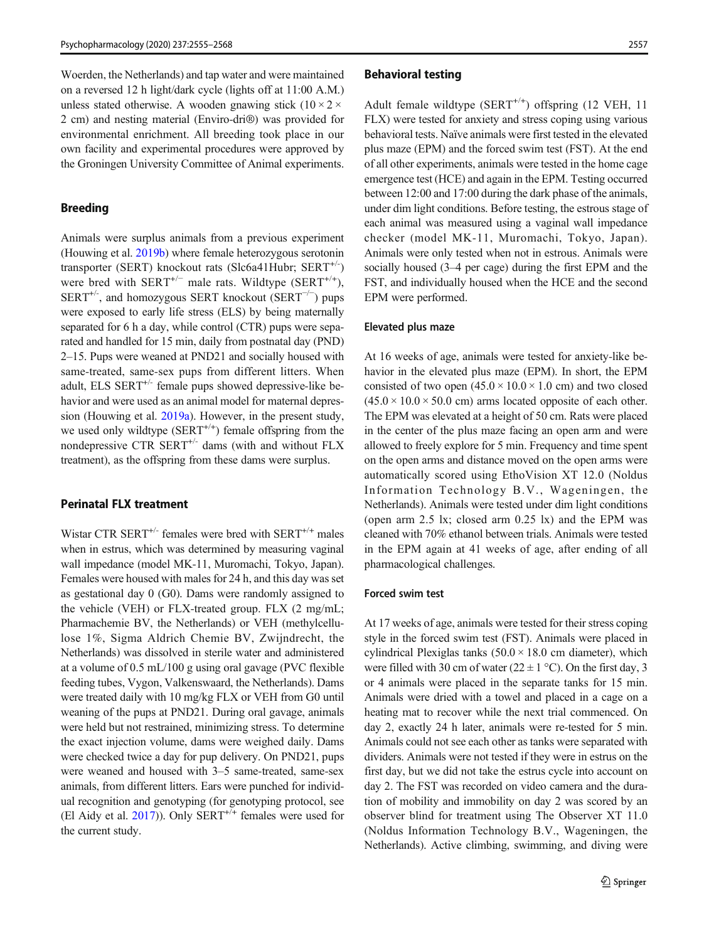Woerden, the Netherlands) and tap water and were maintained on a reversed 12 h light/dark cycle (lights off at 11:00 A.M.) unless stated otherwise. A wooden gnawing stick  $(10 \times 2 \times$ 2 cm) and nesting material (Enviro-dri®) was provided for environmental enrichment. All breeding took place in our own facility and experimental procedures were approved by the Groningen University Committee of Animal experiments.

## Breeding

Animals were surplus animals from a previous experiment (Houwing et al. [2019b\)](#page-12-0) where female heterozygous serotonin transporter (SERT) knockout rats (Slc6a41Hubr;  $SERT^{+/-}$ ) were bred with  $SERT^{+/+}$  male rats. Wildtype  $(SERT^{+/+})$ , SERT<sup>+/-</sup>, and homozygous SERT knockout (SERT<sup>-/-</sup>) pups were exposed to early life stress (ELS) by being maternally separated for 6 h a day, while control (CTR) pups were separated and handled for 15 min, daily from postnatal day (PND) 2–15. Pups were weaned at PND21 and socially housed with same-treated, same-sex pups from different litters. When adult, ELS  $SERT^{+/}$  female pups showed depressive-like behavior and were used as an animal model for maternal depression (Houwing et al. [2019a](#page-12-0)). However, in the present study, we used only wildtype  $(SERT^{+/+})$  female offspring from the nondepressive CTR SERT<sup>+/-</sup> dams (with and without FLX treatment), as the offspring from these dams were surplus.

## Perinatal FLX treatment

Wistar CTR SERT<sup>+/-</sup> females were bred with SERT<sup>+/+</sup> males when in estrus, which was determined by measuring vaginal wall impedance (model MK-11, Muromachi, Tokyo, Japan). Females were housed with males for 24 h, and this day was set as gestational day 0 (G0). Dams were randomly assigned to the vehicle (VEH) or FLX-treated group. FLX (2 mg/mL; Pharmachemie BV, the Netherlands) or VEH (methylcellulose 1%, Sigma Aldrich Chemie BV, Zwijndrecht, the Netherlands) was dissolved in sterile water and administered at a volume of 0.5 mL/100 g using oral gavage (PVC flexible feeding tubes, Vygon, Valkenswaard, the Netherlands). Dams were treated daily with 10 mg/kg FLX or VEH from G0 until weaning of the pups at PND21. During oral gavage, animals were held but not restrained, minimizing stress. To determine the exact injection volume, dams were weighed daily. Dams were checked twice a day for pup delivery. On PND21, pups were weaned and housed with 3–5 same-treated, same-sex animals, from different litters. Ears were punched for individual recognition and genotyping (for genotyping protocol, see (El Aidy et al.  $2017$ )). Only SERT<sup>+/+</sup> females were used for the current study.

#### Behavioral testing

Adult female wildtype  $(SERT^{+/})$  offspring (12 VEH, 11) FLX) were tested for anxiety and stress coping using various behavioral tests. Naïve animals were first tested in the elevated plus maze (EPM) and the forced swim test (FST). At the end of all other experiments, animals were tested in the home cage emergence test (HCE) and again in the EPM. Testing occurred between 12:00 and 17:00 during the dark phase of the animals, under dim light conditions. Before testing, the estrous stage of each animal was measured using a vaginal wall impedance checker (model MK-11, Muromachi, Tokyo, Japan). Animals were only tested when not in estrous. Animals were socially housed (3–4 per cage) during the first EPM and the FST, and individually housed when the HCE and the second EPM were performed.

#### Elevated plus maze

At 16 weeks of age, animals were tested for anxiety-like behavior in the elevated plus maze (EPM). In short, the EPM consisted of two open  $(45.0 \times 10.0 \times 1.0 \text{ cm})$  and two closed  $(45.0 \times 10.0 \times 50.0 \text{ cm})$  arms located opposite of each other. The EPM was elevated at a height of 50 cm. Rats were placed in the center of the plus maze facing an open arm and were allowed to freely explore for 5 min. Frequency and time spent on the open arms and distance moved on the open arms were automatically scored using EthoVision XT 12.0 (Noldus Information Technology B.V., Wageningen, the Netherlands). Animals were tested under dim light conditions (open arm 2.5 lx; closed arm 0.25 lx) and the EPM was cleaned with 70% ethanol between trials. Animals were tested in the EPM again at 41 weeks of age, after ending of all pharmacological challenges.

## Forced swim test

At 17 weeks of age, animals were tested for their stress coping style in the forced swim test (FST). Animals were placed in cylindrical Plexiglas tanks  $(50.0 \times 18.0 \text{ cm} \text{ diameter})$ , which were filled with 30 cm of water ( $22 \pm 1$  °C). On the first day, 3 or 4 animals were placed in the separate tanks for 15 min. Animals were dried with a towel and placed in a cage on a heating mat to recover while the next trial commenced. On day 2, exactly 24 h later, animals were re-tested for 5 min. Animals could not see each other as tanks were separated with dividers. Animals were not tested if they were in estrus on the first day, but we did not take the estrus cycle into account on day 2. The FST was recorded on video camera and the duration of mobility and immobility on day 2 was scored by an observer blind for treatment using The Observer XT 11.0 (Noldus Information Technology B.V., Wageningen, the Netherlands). Active climbing, swimming, and diving were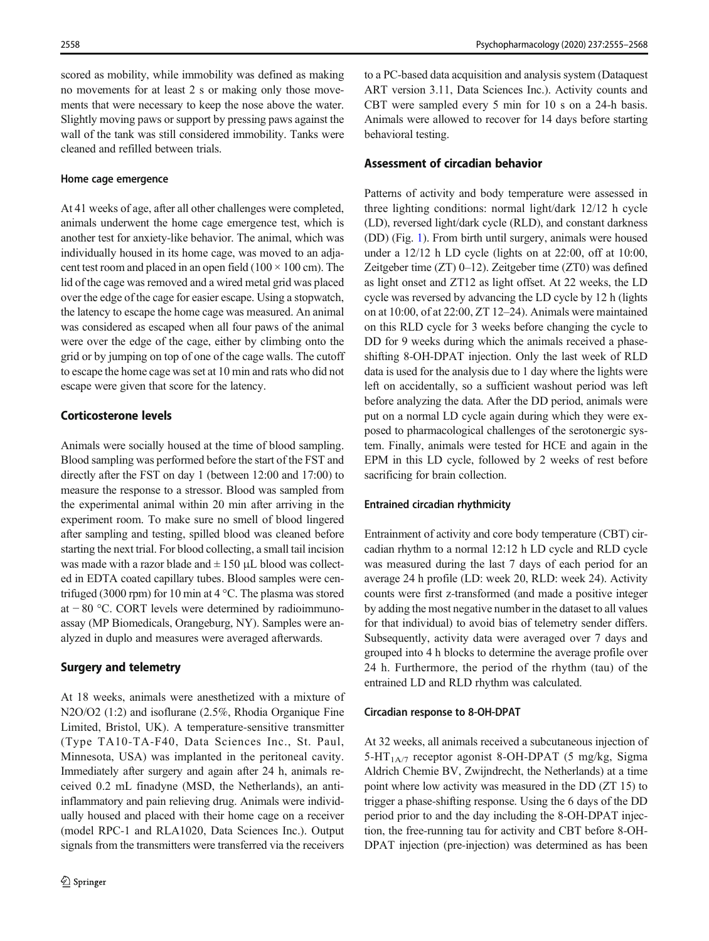scored as mobility, while immobility was defined as making no movements for at least 2 s or making only those movements that were necessary to keep the nose above the water. Slightly moving paws or support by pressing paws against the wall of the tank was still considered immobility. Tanks were cleaned and refilled between trials.

#### Home cage emergence

At 41 weeks of age, after all other challenges were completed, animals underwent the home cage emergence test, which is another test for anxiety-like behavior. The animal, which was individually housed in its home cage, was moved to an adjacent test room and placed in an open field ( $100 \times 100$  cm). The lid of the cage was removed and a wired metal grid was placed over the edge of the cage for easier escape. Using a stopwatch, the latency to escape the home cage was measured. An animal was considered as escaped when all four paws of the animal were over the edge of the cage, either by climbing onto the grid or by jumping on top of one of the cage walls. The cutoff to escape the home cage was set at 10 min and rats who did not escape were given that score for the latency.

# Corticosterone levels

Animals were socially housed at the time of blood sampling. Blood sampling was performed before the start of the FST and directly after the FST on day 1 (between 12:00 and 17:00) to measure the response to a stressor. Blood was sampled from the experimental animal within 20 min after arriving in the experiment room. To make sure no smell of blood lingered after sampling and testing, spilled blood was cleaned before starting the next trial. For blood collecting, a small tail incision was made with a razor blade and  $\pm$  150  $\mu$ L blood was collected in EDTA coated capillary tubes. Blood samples were centrifuged (3000 rpm) for 10 min at 4 °C. The plasma was stored at − 80 °C. CORT levels were determined by radioimmunoassay (MP Biomedicals, Orangeburg, NY). Samples were analyzed in duplo and measures were averaged afterwards.

#### Surgery and telemetry

At 18 weeks, animals were anesthetized with a mixture of N2O/O2 (1:2) and isoflurane (2.5%, Rhodia Organique Fine Limited, Bristol, UK). A temperature-sensitive transmitter (Type TA10-TA-F40, Data Sciences Inc., St. Paul, Minnesota, USA) was implanted in the peritoneal cavity. Immediately after surgery and again after 24 h, animals received 0.2 mL finadyne (MSD, the Netherlands), an antiinflammatory and pain relieving drug. Animals were individually housed and placed with their home cage on a receiver (model RPC-1 and RLA1020, Data Sciences Inc.). Output signals from the transmitters were transferred via the receivers

to a PC-based data acquisition and analysis system (Dataquest ART version 3.11, Data Sciences Inc.). Activity counts and CBT were sampled every 5 min for 10 s on a 24-h basis. Animals were allowed to recover for 14 days before starting behavioral testing.

## Assessment of circadian behavior

Patterns of activity and body temperature were assessed in three lighting conditions: normal light/dark 12/12 h cycle (LD), reversed light/dark cycle (RLD), and constant darkness (DD) (Fig. [1](#page-4-0)). From birth until surgery, animals were housed under a 12/12 h LD cycle (lights on at 22:00, off at 10:00, Zeitgeber time (ZT) 0–12). Zeitgeber time (ZT0) was defined as light onset and ZT12 as light offset. At 22 weeks, the LD cycle was reversed by advancing the LD cycle by 12 h (lights on at 10:00, of at 22:00, ZT 12–24). Animals were maintained on this RLD cycle for 3 weeks before changing the cycle to DD for 9 weeks during which the animals received a phaseshifting 8-OH-DPAT injection. Only the last week of RLD data is used for the analysis due to 1 day where the lights were left on accidentally, so a sufficient washout period was left before analyzing the data. After the DD period, animals were put on a normal LD cycle again during which they were exposed to pharmacological challenges of the serotonergic system. Finally, animals were tested for HCE and again in the EPM in this LD cycle, followed by 2 weeks of rest before sacrificing for brain collection.

## Entrained circadian rhythmicity

Entrainment of activity and core body temperature (CBT) circadian rhythm to a normal 12:12 h LD cycle and RLD cycle was measured during the last 7 days of each period for an average 24 h profile (LD: week 20, RLD: week 24). Activity counts were first z-transformed (and made a positive integer by adding the most negative number in the dataset to all values for that individual) to avoid bias of telemetry sender differs. Subsequently, activity data were averaged over 7 days and grouped into 4 h blocks to determine the average profile over 24 h. Furthermore, the period of the rhythm (tau) of the entrained LD and RLD rhythm was calculated.

## Circadian response to 8-OH-DPAT

At 32 weeks, all animals received a subcutaneous injection of 5-HT<sub>1A/7</sub> receptor agonist 8-OH-DPAT (5 mg/kg, Sigma Aldrich Chemie BV, Zwijndrecht, the Netherlands) at a time point where low activity was measured in the DD (ZT 15) to trigger a phase-shifting response. Using the 6 days of the DD period prior to and the day including the 8-OH-DPAT injection, the free-running tau for activity and CBT before 8-OH-DPAT injection (pre-injection) was determined as has been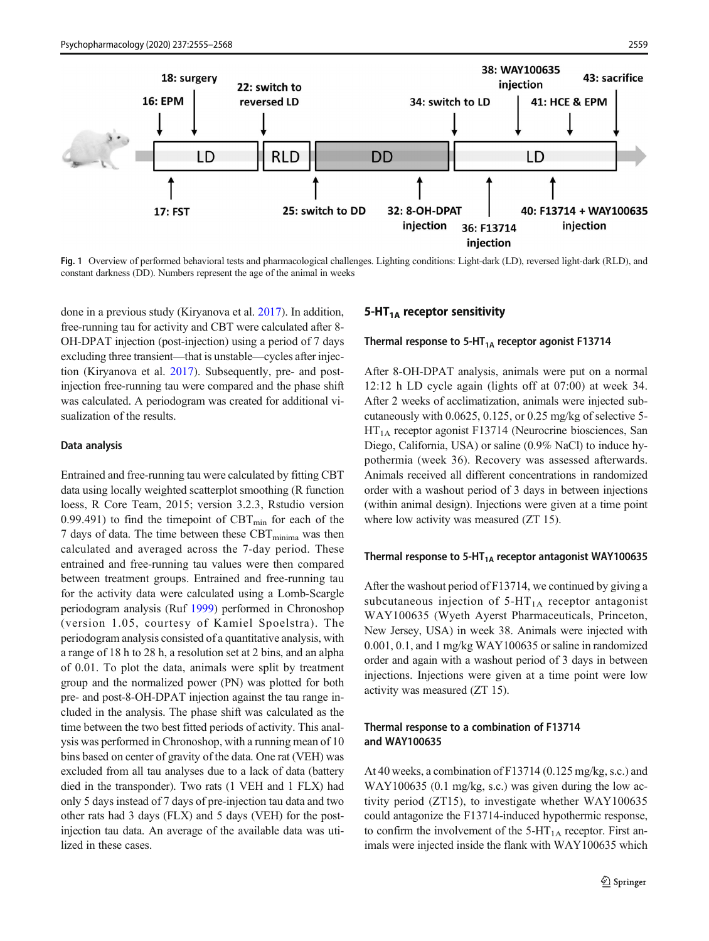<span id="page-4-0"></span>

Fig. 1 Overview of performed behavioral tests and pharmacological challenges. Lighting conditions: Light-dark (LD), reversed light-dark (RLD), and constant darkness (DD). Numbers represent the age of the animal in weeks

done in a previous study (Kiryanova et al. [2017](#page-12-0)). In addition, free-running tau for activity and CBT were calculated after 8- OH-DPAT injection (post-injection) using a period of 7 days excluding three transient—that is unstable—cycles after injection (Kiryanova et al. [2017\)](#page-12-0). Subsequently, pre- and postinjection free-running tau were compared and the phase shift was calculated. A periodogram was created for additional visualization of the results.

## Data analysis

Entrained and free-running tau were calculated by fitting CBT data using locally weighted scatterplot smoothing (R function loess, R Core Team, 2015; version 3.2.3, Rstudio version 0.99.491) to find the timepoint of  $CBT_{min}$  for each of the 7 days of data. The time between these  $CBT_{\text{minima}}$  was then calculated and averaged across the 7-day period. These entrained and free-running tau values were then compared between treatment groups. Entrained and free-running tau for the activity data were calculated using a Lomb-Scargle periodogram analysis (Ruf [1999\)](#page-13-0) performed in Chronoshop (version 1.05, courtesy of Kamiel Spoelstra). The periodogram analysis consisted of a quantitative analysis, with a range of 18 h to 28 h, a resolution set at 2 bins, and an alpha of 0.01. To plot the data, animals were split by treatment group and the normalized power (PN) was plotted for both pre- and post-8-OH-DPAT injection against the tau range included in the analysis. The phase shift was calculated as the time between the two best fitted periods of activity. This analysis was performed in Chronoshop, with a running mean of 10 bins based on center of gravity of the data. One rat (VEH) was excluded from all tau analyses due to a lack of data (battery died in the transponder). Two rats (1 VEH and 1 FLX) had only 5 days instead of 7 days of pre-injection tau data and two other rats had 3 days (FLX) and 5 days (VEH) for the postinjection tau data. An average of the available data was utilized in these cases.

## 5-HT $_{1A}$  receptor sensitivity

## Thermal response to 5-HT<sub>1A</sub> receptor agonist F13714

After 8-OH-DPAT analysis, animals were put on a normal 12:12 h LD cycle again (lights off at 07:00) at week 34. After 2 weeks of acclimatization, animals were injected subcutaneously with 0.0625, 0.125, or 0.25 mg/kg of selective 5-  $HT<sub>1A</sub>$  receptor agonist F13714 (Neurocrine biosciences, San Diego, California, USA) or saline (0.9% NaCl) to induce hypothermia (week 36). Recovery was assessed afterwards. Animals received all different concentrations in randomized order with a washout period of 3 days in between injections (within animal design). Injections were given at a time point where low activity was measured (ZT 15).

## Thermal response to 5-HT<sub>1A</sub> receptor antagonist WAY100635

After the washout period of F13714, we continued by giving a subcutaneous injection of  $5-HT<sub>1A</sub>$  receptor antagonist WAY100635 (Wyeth Ayerst Pharmaceuticals, Princeton, New Jersey, USA) in week 38. Animals were injected with 0.001, 0.1, and 1 mg/kg WAY100635 or saline in randomized order and again with a washout period of 3 days in between injections. Injections were given at a time point were low activity was measured (ZT 15).

## Thermal response to a combination of F13714 and WAY100635

At 40 weeks, a combination of F13714 (0.125 mg/kg, s.c.) and WAY100635 (0.1 mg/kg, s.c.) was given during the low activity period (ZT15), to investigate whether WAY100635 could antagonize the F13714-induced hypothermic response, to confirm the involvement of the  $5-HT<sub>1A</sub>$  receptor. First animals were injected inside the flank with WAY100635 which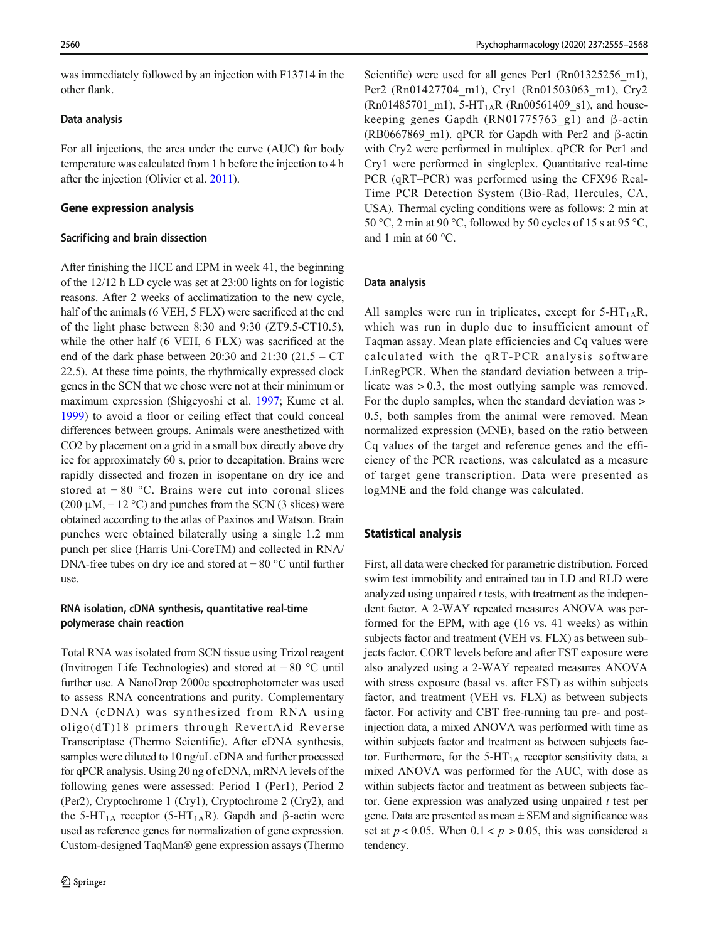was immediately followed by an injection with F13714 in the other flank.

## Data analysis

For all injections, the area under the curve (AUC) for body temperature was calculated from 1 h before the injection to 4 h after the injection (Olivier et al. [2011\)](#page-12-0).

### Gene expression analysis

#### Sacrificing and brain dissection

After finishing the HCE and EPM in week 41, the beginning of the 12/12 h LD cycle was set at 23:00 lights on for logistic reasons. After 2 weeks of acclimatization to the new cycle, half of the animals (6 VEH, 5 FLX) were sacrificed at the end of the light phase between 8:30 and 9:30 (ZT9.5-CT10.5), while the other half (6 VEH, 6 FLX) was sacrificed at the end of the dark phase between 20:30 and 21:30 (21.5 – CT 22.5). At these time points, the rhythmically expressed clock genes in the SCN that we chose were not at their minimum or maximum expression (Shigeyoshi et al. [1997;](#page-13-0) Kume et al. [1999\)](#page-12-0) to avoid a floor or ceiling effect that could conceal differences between groups. Animals were anesthetized with CO2 by placement on a grid in a small box directly above dry ice for approximately 60 s, prior to decapitation. Brains were rapidly dissected and frozen in isopentane on dry ice and stored at − 80 °C. Brains were cut into coronal slices (200  $\mu$ M, – 12 °C) and punches from the SCN (3 slices) were obtained according to the atlas of Paxinos and Watson. Brain punches were obtained bilaterally using a single 1.2 mm punch per slice (Harris Uni-CoreTM) and collected in RNA/ DNA-free tubes on dry ice and stored at − 80 °C until further use.

## RNA isolation, cDNA synthesis, quantitative real-time polymerase chain reaction

Total RNA was isolated from SCN tissue using Trizol reagent (Invitrogen Life Technologies) and stored at − 80 °C until further use. A NanoDrop 2000c spectrophotometer was used to assess RNA concentrations and purity. Complementary DNA (cDNA) was synthesized from RNA using oligo(dT)18 primers through RevertAid Reverse Transcriptase (Thermo Scientific). After cDNA synthesis, samples were diluted to 10 ng/uL cDNA and further processed for qPCR analysis. Using 20 ng of cDNA, mRNA levels of the following genes were assessed: Period 1 (Per1), Period 2 (Per2), Cryptochrome 1 (Cry1), Cryptochrome 2 (Cry2), and the 5-HT<sub>1A</sub> receptor (5-HT<sub>1A</sub>R). Gapdh and β-actin were used as reference genes for normalization of gene expression. Custom-designed TaqMan® gene expression assays (Thermo Scientific) were used for all genes Per1 (Rn01325256 m1). Per2 (Rn01427704 m1), Cry1 (Rn01503063 m1), Cry2 (Rn01485701\_m1), 5-HT<sub>1A</sub>R (Rn00561409\_s1), and housekeeping genes Gapdh (RN01775763\_g1) and β-actin (RB0667869 m1). qPCR for Gapdh with Per2 and  $\beta$ -actin with Cry2 were performed in multiplex. qPCR for Per1 and Cry1 were performed in singleplex. Quantitative real-time PCR (qRT–PCR) was performed using the CFX96 Real-Time PCR Detection System (Bio-Rad, Hercules, CA, USA). Thermal cycling conditions were as follows: 2 min at 50 °C, 2 min at 90 °C, followed by 50 cycles of 15 s at 95 °C, and 1 min at 60 °C.

#### Data analysis

All samples were run in triplicates, except for  $5-HT_{1A}R$ , which was run in duplo due to insufficient amount of Taqman assay. Mean plate efficiencies and Cq values were calculated with the qRT-PCR analysis software LinRegPCR. When the standard deviation between a triplicate was > 0.3, the most outlying sample was removed. For the duplo samples, when the standard deviation was  $>$ 0.5, both samples from the animal were removed. Mean normalized expression (MNE), based on the ratio between Cq values of the target and reference genes and the efficiency of the PCR reactions, was calculated as a measure of target gene transcription. Data were presented as logMNE and the fold change was calculated.

## Statistical analysis

First, all data were checked for parametric distribution. Forced swim test immobility and entrained tau in LD and RLD were analyzed using unpaired  $t$  tests, with treatment as the independent factor. A 2-WAY repeated measures ANOVA was performed for the EPM, with age (16 vs. 41 weeks) as within subjects factor and treatment (VEH vs. FLX) as between subjects factor. CORT levels before and after FST exposure were also analyzed using a 2-WAY repeated measures ANOVA with stress exposure (basal vs. after FST) as within subjects factor, and treatment (VEH vs. FLX) as between subjects factor. For activity and CBT free-running tau pre- and postinjection data, a mixed ANOVA was performed with time as within subjects factor and treatment as between subjects factor. Furthermore, for the  $5-HT<sub>1A</sub>$  receptor sensitivity data, a mixed ANOVA was performed for the AUC, with dose as within subjects factor and treatment as between subjects factor. Gene expression was analyzed using unpaired  $t$  test per gene. Data are presented as mean  $\pm$  SEM and significance was set at  $p < 0.05$ . When  $0.1 < p > 0.05$ , this was considered a tendency.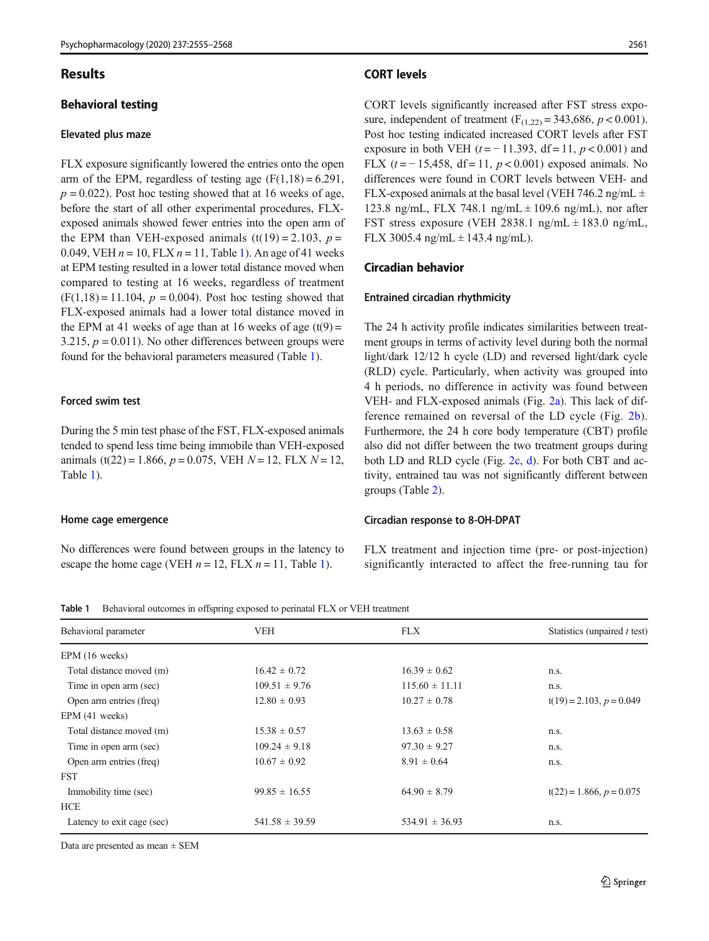## Results

## Behavioral testing

## Elevated plus maze

FLX exposure significantly lowered the entries onto the open arm of the EPM, regardless of testing age  $(F(1,18) = 6.291$ ,  $p = 0.022$ ). Post hoc testing showed that at 16 weeks of age, before the start of all other experimental procedures, FLXexposed animals showed fewer entries into the open arm of the EPM than VEH-exposed animals  $(t(19) = 2.103, p =$ 0.049, VEH  $n = 10$ , FLX  $n = 11$ , Table 1). An age of 41 weeks at EPM testing resulted in a lower total distance moved when compared to testing at 16 weeks, regardless of treatment  $(F(1,18) = 11.104, p = 0.004)$ . Post hoc testing showed that FLX-exposed animals had a lower total distance moved in the EPM at 41 weeks of age than at 16 weeks of age  $(t(9) =$ 3.215,  $p = 0.011$ ). No other differences between groups were found for the behavioral parameters measured (Table 1).

## Forced swim test

During the 5 min test phase of the FST, FLX-exposed animals tended to spend less time being immobile than VEH-exposed animals (t(22) = 1.866,  $p = 0.075$ , VEH  $N = 12$ , FLX  $N = 12$ , Table 1).

#### Home cage emergence

No differences were found between groups in the latency to escape the home cage (VEH  $n = 12$ , FLX  $n = 11$ , Table 1).

## CORT levels

CORT levels significantly increased after FST stress exposure, independent of treatment  $(F_{(1,22)} = 343,686, p < 0.001)$ . Post hoc testing indicated increased CORT levels after FST exposure in both VEH ( $t = -11.393$ , df = 11,  $p < 0.001$ ) and FLX ( $t = -15,458$ , df = 11,  $p < 0.001$ ) exposed animals. No differences were found in CORT levels between VEH- and FLX-exposed animals at the basal level (VEH 746.2 ng/mL  $\pm$ 123.8 ng/mL, FLX 748.1 ng/mL  $\pm$  109.6 ng/mL), nor after FST stress exposure (VEH 2838.1 ng/mL  $\pm$  183.0 ng/mL, FLX 3005.4 ng/mL  $\pm$  143.4 ng/mL).

#### Circadian behavior

#### Entrained circadian rhythmicity

The 24 h activity profile indicates similarities between treatment groups in terms of activity level during both the normal light/dark 12/12 h cycle (LD) and reversed light/dark cycle (RLD) cycle. Particularly, when activity was grouped into 4 h periods, no difference in activity was found between VEH- and FLX-exposed animals (Fig. [2a\)](#page-7-0). This lack of difference remained on reversal of the LD cycle (Fig. [2b](#page-7-0)). Furthermore, the 24 h core body temperature (CBT) profile also did not differ between the two treatment groups during both LD and RLD cycle (Fig. [2c, d](#page-7-0)). For both CBT and activity, entrained tau was not significantly different between groups (Table [2\)](#page-7-0).

#### Circadian response to 8-OH-DPAT

FLX treatment and injection time (pre- or post-injection) significantly interacted to affect the free-running tau for

Table 1 Behavioral outcomes in offspring exposed to perinatal FLX or VEH treatment

| Behavioral parameter       | <b>VEH</b>         | <b>FLX</b>         | Statistics (unpaired t test) |
|----------------------------|--------------------|--------------------|------------------------------|
| EPM (16 weeks)             |                    |                    |                              |
| Total distance moved (m)   | $16.42 \pm 0.72$   | $16.39 \pm 0.62$   | n.s.                         |
| Time in open arm (sec)     | $109.51 \pm 9.76$  | $115.60 \pm 11.11$ | n.s.                         |
| Open arm entries (freq)    | $12.80 \pm 0.93$   | $10.27 \pm 0.78$   | $t(19) = 2.103, p = 0.049$   |
| EPM(41 weeks)              |                    |                    |                              |
| Total distance moved (m)   | $15.38 \pm 0.57$   | $13.63 \pm 0.58$   | n.s.                         |
| Time in open arm (sec)     | $109.24 \pm 9.18$  | $97.30 \pm 9.27$   | n.s.                         |
| Open arm entries (freq)    | $10.67 \pm 0.92$   | $8.91 \pm 0.64$    | n.s.                         |
| <b>FST</b>                 |                    |                    |                              |
| Immobility time (sec)      | $99.85 \pm 16.55$  | $64.90 \pm 8.79$   | $t(22) = 1.866, p = 0.075$   |
| <b>HCE</b>                 |                    |                    |                              |
| Latency to exit cage (sec) | $541.58 \pm 39.59$ | $534.91 \pm 36.93$ | n.s.                         |

Data are presented as mean ± SEM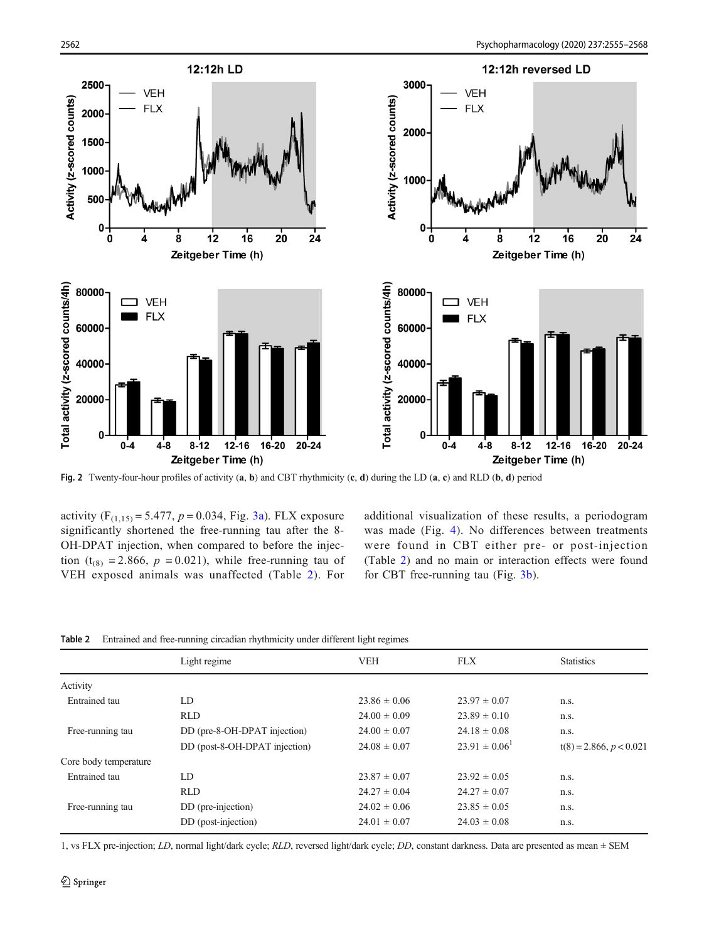<span id="page-7-0"></span>

Fig. 2 Twenty-four-hour profiles of activity (a, b) and CBT rhythmicity (c, d) during the LD (a, c) and RLD (b, d) period

activity  $(F_{(1,15)} = 5.477, p = 0.034, Fig. 3a)$  $(F_{(1,15)} = 5.477, p = 0.034, Fig. 3a)$ . FLX exposure significantly shortened the free-running tau after the 8- OH-DPAT injection, when compared to before the injection (t<sub>(8)</sub> = 2.866,  $p = 0.021$ ), while free-running tau of VEH exposed animals was unaffected (Table 2). For additional visualization of these results, a periodogram was made (Fig. [4\)](#page-8-0). No differences between treatments were found in CBT either pre- or post-injection (Table 2) and no main or interaction effects were found for CBT free-running tau (Fig. [3b](#page-8-0)).

|  |  |  |  |  |  | Table 2 Entrained and free-running circadian rhythmicity under different light regimes |  |
|--|--|--|--|--|--|----------------------------------------------------------------------------------------|--|
|--|--|--|--|--|--|----------------------------------------------------------------------------------------|--|

|                       | Light regime                  | <b>VEH</b>       | <b>FLX</b>         | <b>Statistics</b>         |
|-----------------------|-------------------------------|------------------|--------------------|---------------------------|
| Activity              |                               |                  |                    |                           |
| Entrained tau         | LD                            | $23.86 \pm 0.06$ | $23.97 \pm 0.07$   | n.s.                      |
|                       | <b>RLD</b>                    | $24.00 \pm 0.09$ | $23.89 \pm 0.10$   | n.s.                      |
| Free-running tau      | DD (pre-8-OH-DPAT injection)  | $24.00 \pm 0.07$ | $24.18 \pm 0.08$   | n.s.                      |
|                       | DD (post-8-OH-DPAT injection) | $24.08 \pm 0.07$ | $23.91 \pm 0.06^1$ | $t(8) = 2.866, p < 0.021$ |
| Core body temperature |                               |                  |                    |                           |
| Entrained tau         | LD                            | $23.87 \pm 0.07$ | $23.92 \pm 0.05$   | n.s.                      |
|                       | <b>RLD</b>                    | $24.27 \pm 0.04$ | $24.27 \pm 0.07$   | n.s.                      |
| Free-running tau      | DD (pre-injection)            | $24.02 \pm 0.06$ | $23.85 \pm 0.05$   | n.s.                      |
|                       | DD (post-injection)           | $24.01 \pm 0.07$ | $24.03 \pm 0.08$   | n.s.                      |

1, vs FLX pre-injection; LD, normal light/dark cycle; RLD, reversed light/dark cycle; DD, constant darkness. Data are presented as mean  $\pm$  SEM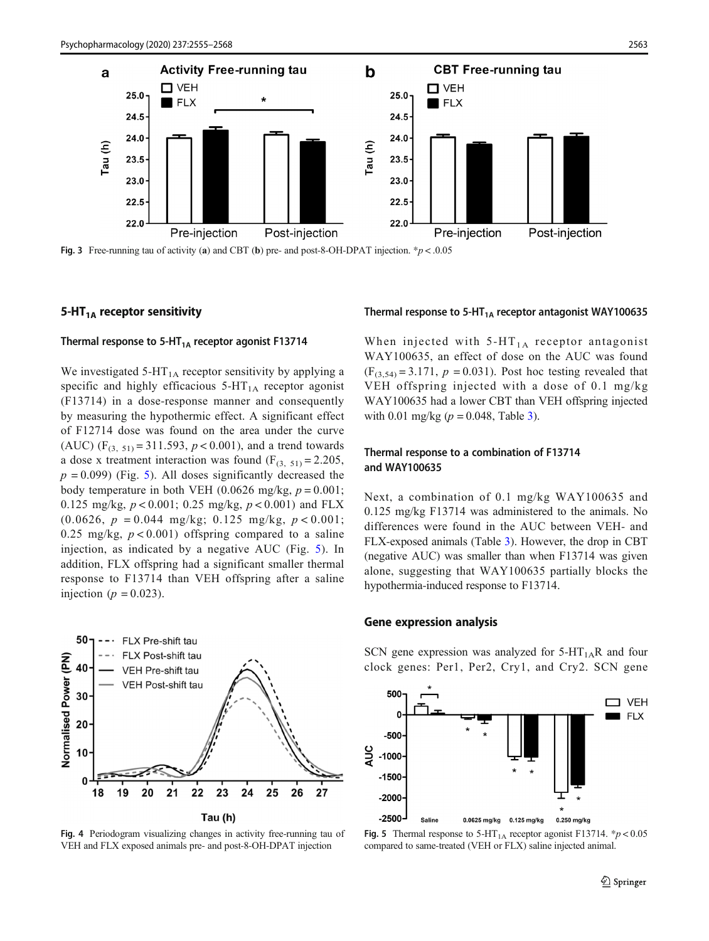<span id="page-8-0"></span>

Fig. 3 Free-running tau of activity (a) and CBT (b) pre- and post-8-OH-DPAT injection. \* $p < .0.05$ 

#### 5-HT $_{1A}$  receptor sensitivity

## Thermal response to 5-HT<sub>1A</sub> receptor agonist F13714

We investigated 5-HT<sub>1A</sub> receptor sensitivity by applying a specific and highly efficacious  $5-HT<sub>1A</sub>$  receptor agonist (F13714) in a dose-response manner and consequently by measuring the hypothermic effect. A significant effect of F12714 dose was found on the area under the curve (AUC) (F<sub>(3, 51)</sub> = 311.593,  $p < 0.001$ ), and a trend towards a dose x treatment interaction was found  $(F_{(3, 51)} = 2.205$ ,  $p = 0.099$ ) (Fig. 5). All doses significantly decreased the body temperature in both VEH (0.0626 mg/kg,  $p = 0.001$ ; 0.125 mg/kg,  $p < 0.001$ ; 0.25 mg/kg,  $p < 0.001$ ) and FLX  $(0.0626, p = 0.044 \text{ mg/kg}; 0.125 \text{ mg/kg}, p < 0.001;$ 0.25 mg/kg,  $p < 0.001$ ) offspring compared to a saline injection, as indicated by a negative AUC (Fig. 5). In addition, FLX offspring had a significant smaller thermal response to F13714 than VEH offspring after a saline injection ( $p = 0.023$ ).



Fig. 4 Periodogram visualizing changes in activity free-running tau of VEH and FLX exposed animals pre- and post-8-OH-DPAT injection

#### Thermal response to 5-HT<sub>1A</sub> receptor antagonist WAY100635

When injected with  $5-HT_{1A}$  receptor antagonist WAY100635, an effect of dose on the AUC was found  $(F_{(3,54)} = 3.171, p = 0.031)$ . Post hoc testing revealed that VEH offspring injected with a dose of 0.1 mg/kg WAY100635 had a lower CBT than VEH offspring injected with 0.01 mg/kg ( $p = 0.048$ , Table [3](#page-9-0)).

## Thermal response to a combination of F13714 and WAY100635

Next, a combination of 0.1 mg/kg WAY100635 and 0.125 mg/kg F13714 was administered to the animals. No differences were found in the AUC between VEH- and FLX-exposed animals (Table [3\)](#page-9-0). However, the drop in CBT (negative AUC) was smaller than when F13714 was given alone, suggesting that WAY100635 partially blocks the hypothermia-induced response to F13714.

# Gene expression analysis

SCN gene expression was analyzed for  $5-HT_{1A}R$  and four clock genes: Per1, Per2, Cry1, and Cry2. SCN gene



Fig. 5 Thermal response to  $5-\text{HT}_{1\text{A}}$  receptor agonist F13714. \* $p < 0.05$ compared to same-treated (VEH or FLX) saline injected animal.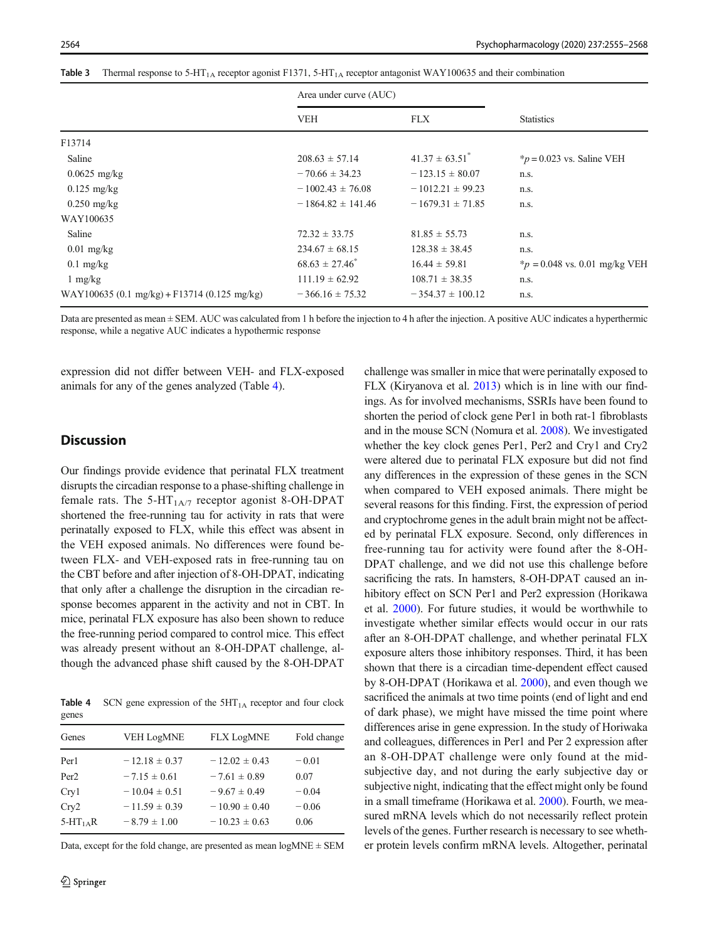<span id="page-9-0"></span>

|  |  |  |  | <b>Table 3</b> Thermal response to 5-HT <sub>1A</sub> receptor agonist F1371, 5-HT <sub>1A</sub> receptor antagonist WAY100635 and their combination |
|--|--|--|--|------------------------------------------------------------------------------------------------------------------------------------------------------|
|--|--|--|--|------------------------------------------------------------------------------------------------------------------------------------------------------|

|                                              | Area under curve (AUC) |                                |                                  |  |
|----------------------------------------------|------------------------|--------------------------------|----------------------------------|--|
|                                              | <b>VEH</b>             | <b>FLX</b>                     | <b>Statistics</b>                |  |
| F13714                                       |                        |                                |                                  |  |
| Saline                                       | $208.63 \pm 57.14$     | $41.37 \pm 63.51$ <sup>*</sup> | $*_{p} = 0.023$ vs. Saline VEH   |  |
| $0.0625$ mg/kg                               | $-70.66 \pm 34.23$     | $-123.15 \pm 80.07$            | n.s.                             |  |
| $0.125$ mg/kg                                | $-1002.43 \pm 76.08$   | $-1012.21 \pm 99.23$           | n.s.                             |  |
| $0.250$ mg/kg                                | $-1864.82 \pm 141.46$  | $-1679.31 \pm 71.85$           | n.s.                             |  |
| WAY100635                                    |                        |                                |                                  |  |
| Saline                                       | $72.32 \pm 33.75$      | $81.85 \pm 55.73$              | n.s.                             |  |
| $0.01$ mg/kg                                 | $234.67 \pm 68.15$     | $128.38 \pm 38.45$             | n.s.                             |  |
| $0.1$ mg/kg                                  | $68.63 \pm 27.46^*$    | $16.44 \pm 59.81$              | $*_p$ = 0.048 vs. 0.01 mg/kg VEH |  |
| $1 \text{ mg/kg}$                            | $111.19 \pm 62.92$     | $108.71 \pm 38.35$             | n.s.                             |  |
| WAY100635 (0.1 mg/kg) + F13714 (0.125 mg/kg) | $-366.16 \pm 75.32$    | $-354.37 \pm 100.12$           | n.s.                             |  |

Data are presented as mean ± SEM. AUC was calculated from 1 h before the injection to 4 h after the injection. A positive AUC indicates a hyperthermic response, while a negative AUC indicates a hypothermic response

expression did not differ between VEH- and FLX-exposed animals for any of the genes analyzed (Table 4).

# **Discussion**

Our findings provide evidence that perinatal FLX treatment disrupts the circadian response to a phase-shifting challenge in female rats. The 5-HT<sub>1A/7</sub> receptor agonist 8-OH-DPAT shortened the free-running tau for activity in rats that were perinatally exposed to FLX, while this effect was absent in the VEH exposed animals. No differences were found between FLX- and VEH-exposed rats in free-running tau on the CBT before and after injection of 8-OH-DPAT, indicating that only after a challenge the disruption in the circadian response becomes apparent in the activity and not in CBT. In mice, perinatal FLX exposure has also been shown to reduce the free-running period compared to control mice. This effect was already present without an 8-OH-DPAT challenge, although the advanced phase shift caused by the 8-OH-DPAT

**Table 4** SCN gene expression of the  $5HT_{1A}$  receptor and four clock genes

| Genes            | <b>VEH LogMNE</b> | <b>FLX LogMNE</b> | Fold change |
|------------------|-------------------|-------------------|-------------|
| Per <sub>1</sub> | $-12.18 \pm 0.37$ | $-12.02 \pm 0.43$ | $-0.01$     |
| Per <sub>2</sub> | $-7.15 \pm 0.61$  | $-7.61 \pm 0.89$  | 0.07        |
| Cry1             | $-10.04 \pm 0.51$ | $-9.67 \pm 0.49$  | $-0.04$     |
| Cry2             | $-11.59 \pm 0.39$ | $-10.90 \pm 0.40$ | $-0.06$     |
| $5-HT1 A R$      | $-8.79 \pm 1.00$  | $-10.23 \pm 0.63$ | 0.06        |
|                  |                   |                   |             |

Data, except for the fold change, are presented as mean  $logMNE \pm SEM$ 

challenge was smaller in mice that were perinatally exposed to FLX (Kiryanova et al. [2013](#page-12-0)) which is in line with our findings. As for involved mechanisms, SSRIs have been found to shorten the period of clock gene Per1 in both rat-1 fibroblasts and in the mouse SCN (Nomura et al. [2008\)](#page-12-0). We investigated whether the key clock genes Per1, Per2 and Cry1 and Cry2 were altered due to perinatal FLX exposure but did not find any differences in the expression of these genes in the SCN when compared to VEH exposed animals. There might be several reasons for this finding. First, the expression of period and cryptochrome genes in the adult brain might not be affected by perinatal FLX exposure. Second, only differences in free-running tau for activity were found after the 8-OH-DPAT challenge, and we did not use this challenge before sacrificing the rats. In hamsters, 8-OH-DPAT caused an inhibitory effect on SCN Per1 and Per2 expression (Horikawa et al. [2000](#page-11-0)). For future studies, it would be worthwhile to investigate whether similar effects would occur in our rats after an 8-OH-DPAT challenge, and whether perinatal FLX exposure alters those inhibitory responses. Third, it has been shown that there is a circadian time-dependent effect caused by 8-OH-DPAT (Horikawa et al. [2000](#page-11-0)), and even though we sacrificed the animals at two time points (end of light and end of dark phase), we might have missed the time point where differences arise in gene expression. In the study of Horiwaka and colleagues, differences in Per1 and Per 2 expression after an 8-OH-DPAT challenge were only found at the midsubjective day, and not during the early subjective day or subjective night, indicating that the effect might only be found in a small timeframe (Horikawa et al. [2000](#page-11-0)). Fourth, we measured mRNA levels which do not necessarily reflect protein levels of the genes. Further research is necessary to see whether protein levels confirm mRNA levels. Altogether, perinatal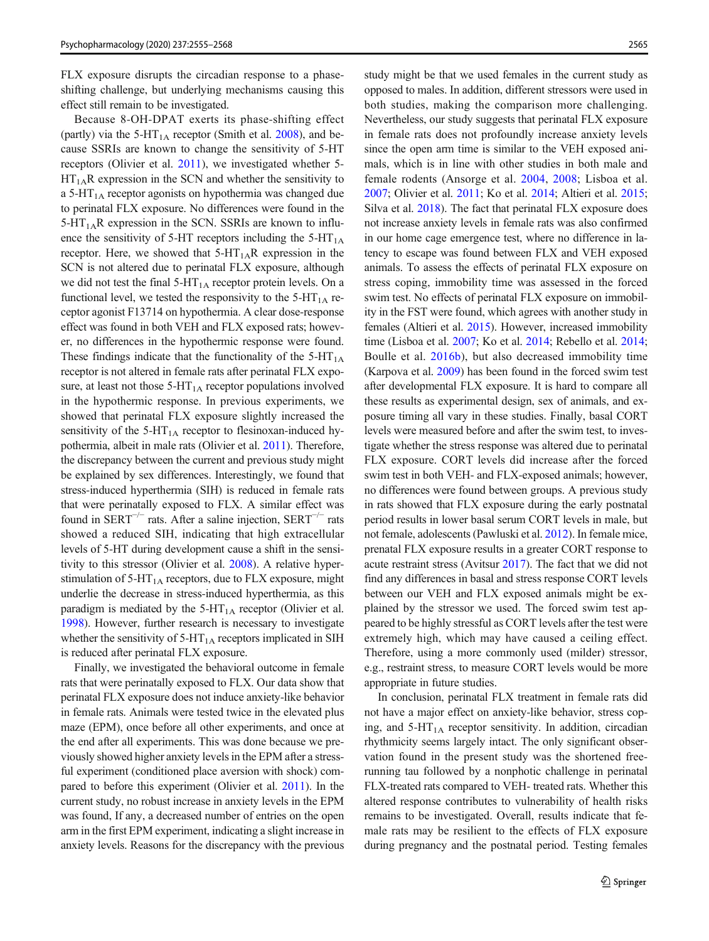FLX exposure disrupts the circadian response to a phaseshifting challenge, but underlying mechanisms causing this effect still remain to be investigated.

Because 8-OH-DPAT exerts its phase-shifting effect (partly) via the  $5-HT_{1A}$  receptor (Smith et al. [2008](#page-13-0)), and because SSRIs are known to change the sensitivity of 5-HT receptors (Olivier et al. [2011](#page-12-0)), we investigated whether 5-  $HT<sub>1A</sub>R$  expression in the SCN and whether the sensitivity to a 5-HT $_{1A}$  receptor agonists on hypothermia was changed due to perinatal FLX exposure. No differences were found in the  $5-HT<sub>1A</sub>R$  expression in the SCN. SSRIs are known to influence the sensitivity of 5-HT receptors including the  $5-HT<sub>1A</sub>$ receptor. Here, we showed that  $5-HT_{1A}R$  expression in the SCN is not altered due to perinatal FLX exposure, although we did not test the final  $5-HT<sub>1A</sub>$  receptor protein levels. On a functional level, we tested the responsivity to the  $5-HT<sub>1A</sub>$  receptor agonist F13714 on hypothermia. A clear dose-response effect was found in both VEH and FLX exposed rats; however, no differences in the hypothermic response were found. These findings indicate that the functionality of the  $5-HT<sub>1A</sub>$ receptor is not altered in female rats after perinatal FLX exposure, at least not those  $5-HT<sub>1A</sub>$  receptor populations involved in the hypothermic response. In previous experiments, we showed that perinatal FLX exposure slightly increased the sensitivity of the  $5-HT<sub>1A</sub>$  receptor to flesinoxan-induced hypothermia, albeit in male rats (Olivier et al. [2011\)](#page-12-0). Therefore, the discrepancy between the current and previous study might be explained by sex differences. Interestingly, we found that stress-induced hyperthermia (SIH) is reduced in female rats that were perinatally exposed to FLX. A similar effect was found in SERT<sup> $-/-$ </sup> rats. After a saline injection, SERT<sup> $-/-$ </sup> rats showed a reduced SIH, indicating that high extracellular levels of 5-HT during development cause a shift in the sensitivity to this stressor (Olivier et al. [2008](#page-12-0)). A relative hyperstimulation of  $5-HT<sub>1A</sub>$  receptors, due to FLX exposure, might underlie the decrease in stress-induced hyperthermia, as this paradigm is mediated by the  $5-HT<sub>1A</sub>$  receptor (Olivier et al. [1998\)](#page-12-0). However, further research is necessary to investigate whether the sensitivity of  $5-HT<sub>1A</sub>$  receptors implicated in SIH is reduced after perinatal FLX exposure.

Finally, we investigated the behavioral outcome in female rats that were perinatally exposed to FLX. Our data show that perinatal FLX exposure does not induce anxiety-like behavior in female rats. Animals were tested twice in the elevated plus maze (EPM), once before all other experiments, and once at the end after all experiments. This was done because we previously showed higher anxiety levels in the EPM after a stressful experiment (conditioned place aversion with shock) compared to before this experiment (Olivier et al. [2011\)](#page-12-0). In the current study, no robust increase in anxiety levels in the EPM was found, If any, a decreased number of entries on the open arm in the first EPM experiment, indicating a slight increase in anxiety levels. Reasons for the discrepancy with the previous study might be that we used females in the current study as opposed to males. In addition, different stressors were used in both studies, making the comparison more challenging. Nevertheless, our study suggests that perinatal FLX exposure in female rats does not profoundly increase anxiety levels since the open arm time is similar to the VEH exposed animals, which is in line with other studies in both male and female rodents (Ansorge et al. [2004](#page-11-0), [2008](#page-11-0); Lisboa et al. [2007;](#page-12-0) Olivier et al. [2011](#page-12-0); Ko et al. [2014](#page-12-0); Altieri et al. [2015;](#page-11-0) Silva et al. [2018](#page-13-0)). The fact that perinatal FLX exposure does not increase anxiety levels in female rats was also confirmed in our home cage emergence test, where no difference in latency to escape was found between FLX and VEH exposed animals. To assess the effects of perinatal FLX exposure on stress coping, immobility time was assessed in the forced swim test. No effects of perinatal FLX exposure on immobility in the FST were found, which agrees with another study in females (Altieri et al. [2015](#page-11-0)). However, increased immobility time (Lisboa et al. [2007;](#page-12-0) Ko et al. [2014;](#page-12-0) Rebello et al. [2014;](#page-12-0) Boulle et al. [2016b](#page-11-0)), but also decreased immobility time (Karpova et al. [2009\)](#page-12-0) has been found in the forced swim test after developmental FLX exposure. It is hard to compare all these results as experimental design, sex of animals, and exposure timing all vary in these studies. Finally, basal CORT levels were measured before and after the swim test, to investigate whether the stress response was altered due to perinatal FLX exposure. CORT levels did increase after the forced swim test in both VEH- and FLX-exposed animals; however, no differences were found between groups. A previous study in rats showed that FLX exposure during the early postnatal period results in lower basal serum CORT levels in male, but not female, adolescents (Pawluski et al. [2012\)](#page-12-0). In female mice, prenatal FLX exposure results in a greater CORT response to acute restraint stress (Avitsur [2017\)](#page-11-0). The fact that we did not find any differences in basal and stress response CORT levels between our VEH and FLX exposed animals might be explained by the stressor we used. The forced swim test appeared to be highly stressful as CORT levels after the test were extremely high, which may have caused a ceiling effect. Therefore, using a more commonly used (milder) stressor, e.g., restraint stress, to measure CORT levels would be more appropriate in future studies.

In conclusion, perinatal FLX treatment in female rats did not have a major effect on anxiety-like behavior, stress coping, and  $5-HT<sub>1A</sub>$  receptor sensitivity. In addition, circadian rhythmicity seems largely intact. The only significant observation found in the present study was the shortened freerunning tau followed by a nonphotic challenge in perinatal FLX-treated rats compared to VEH- treated rats. Whether this altered response contributes to vulnerability of health risks remains to be investigated. Overall, results indicate that female rats may be resilient to the effects of FLX exposure during pregnancy and the postnatal period. Testing females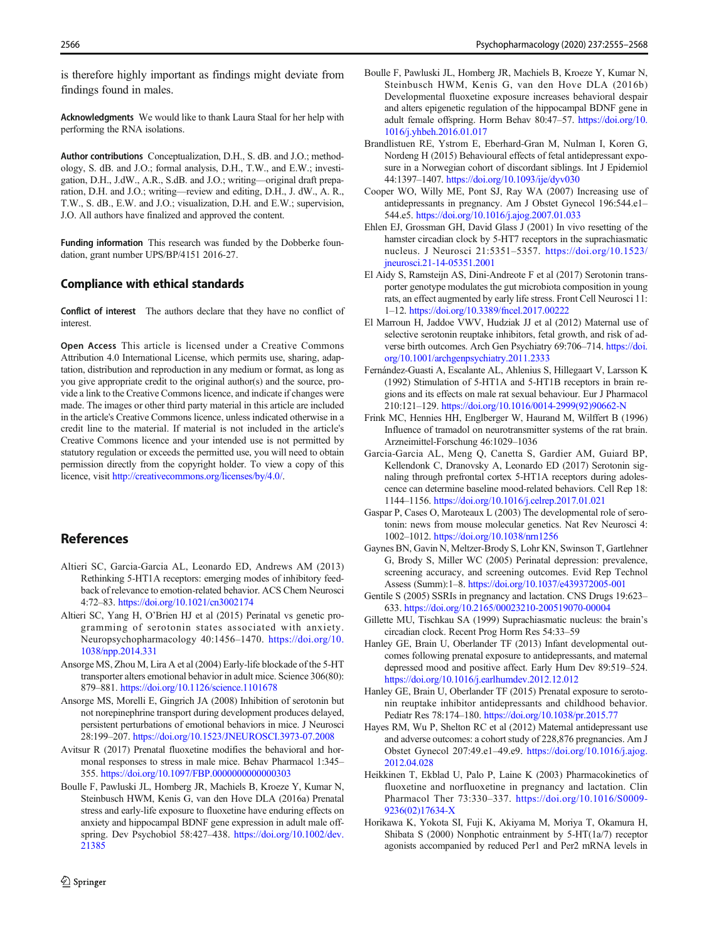<span id="page-11-0"></span>is therefore highly important as findings might deviate from findings found in males.

Acknowledgments We would like to thank Laura Staal for her help with performing the RNA isolations.

Author contributions Conceptualization, D.H., S. dB. and J.O.; methodology, S. dB. and J.O.; formal analysis, D.H., T.W., and E.W.; investigation, D.H., J.dW., A.R., S.dB. and J.O.; writing—original draft preparation, D.H. and J.O.; writing—review and editing, D.H., J. dW., A. R., T.W., S. dB., E.W. and J.O.; visualization, D.H. and E.W.; supervision, J.O. All authors have finalized and approved the content.

Funding information This research was funded by the Dobberke foundation, grant number UPS/BP/4151 2016-27.

#### Compliance with ethical standards

Conflict of interest The authors declare that they have no conflict of interest.

Open Access This article is licensed under a Creative Commons Attribution 4.0 International License, which permits use, sharing, adaptation, distribution and reproduction in any medium or format, as long as you give appropriate credit to the original author(s) and the source, provide a link to the Creative Commons licence, and indicate if changes were made. The images or other third party material in this article are included in the article's Creative Commons licence, unless indicated otherwise in a credit line to the material. If material is not included in the article's Creative Commons licence and your intended use is not permitted by statutory regulation or exceeds the permitted use, you will need to obtain permission directly from the copyright holder. To view a copy of this licence, visit <http://creativecommons.org/licenses/by/4.0/>.

# **References**

- Altieri SC, Garcia-Garcia AL, Leonardo ED, Andrews AM (2013) Rethinking 5-HT1A receptors: emerging modes of inhibitory feedback of relevance to emotion-related behavior. ACS Chem Neurosci 4:72–83. <https://doi.org/10.1021/cn3002174>
- Altieri SC, Yang H, O'Brien HJ et al (2015) Perinatal vs genetic programming of serotonin states associated with anxiety. Neuropsychopharmacology 40:1456–1470. [https://doi.org/10.](https://doi.org/10.1038/npp.2014.331) [1038/npp.2014.331](https://doi.org/10.1038/npp.2014.331)
- Ansorge MS, Zhou M, Lira A et al (2004) Early-life blockade of the 5-HT transporter alters emotional behavior in adult mice. Science 306(80): 879–881. <https://doi.org/10.1126/science.1101678>
- Ansorge MS, Morelli E, Gingrich JA (2008) Inhibition of serotonin but not norepinephrine transport during development produces delayed, persistent perturbations of emotional behaviors in mice. J Neurosci 28:199–207. <https://doi.org/10.1523/JNEUROSCI.3973-07.2008>
- Avitsur R (2017) Prenatal fluoxetine modifies the behavioral and hormonal responses to stress in male mice. Behav Pharmacol 1:345– 355. <https://doi.org/10.1097/FBP.0000000000000303>
- Boulle F, Pawluski JL, Homberg JR, Machiels B, Kroeze Y, Kumar N, Steinbusch HWM, Kenis G, van den Hove DLA (2016a) Prenatal stress and early-life exposure to fluoxetine have enduring effects on anxiety and hippocampal BDNF gene expression in adult male offspring. Dev Psychobiol 58:427–438. [https://doi.org/10.1002/dev.](https://doi.org/10.1002/dev.21385) [21385](https://doi.org/10.1002/dev.21385)
- Boulle F, Pawluski JL, Homberg JR, Machiels B, Kroeze Y, Kumar N, Steinbusch HWM, Kenis G, van den Hove DLA (2016b) Developmental fluoxetine exposure increases behavioral despair and alters epigenetic regulation of the hippocampal BDNF gene in adult female offspring. Horm Behav 80:47–57. [https://doi.org/10.](https://doi.org/10.1016/j.yhbeh.2016.01.017) [1016/j.yhbeh.2016.01.017](https://doi.org/10.1016/j.yhbeh.2016.01.017)
- Brandlistuen RE, Ystrom E, Eberhard-Gran M, Nulman I, Koren G, Nordeng H (2015) Behavioural effects of fetal antidepressant exposure in a Norwegian cohort of discordant siblings. Int J Epidemiol 44:1397–1407. <https://doi.org/10.1093/ije/dyv030>
- Cooper WO, Willy ME, Pont SJ, Ray WA (2007) Increasing use of antidepressants in pregnancy. Am J Obstet Gynecol 196:544.e1– 544.e5. [https://doi.org/10.1016/j.ajog.2007.01.033](http://creativecommons.org/licenses/by/4.0/)
- Ehlen EJ, Grossman GH, David Glass J (2001) In vivo resetting of the hamster circadian clock by 5-HT7 receptors in the suprachiasmatic nucleus. J Neurosci 21:5351–5357. [https://doi.org/10.1523/](https://doi.org/10.1523/jneurosci.21-14-05351.2001) [jneurosci.21-14-05351.2001](https://doi.org/10.1523/jneurosci.21-14-05351.2001)
- El Aidy S, Ramsteijn AS, Dini-Andreote F et al (2017) Serotonin transporter genotype modulates the gut microbiota composition in young rats, an effect augmented by early life stress. Front Cell Neurosci 11: 1–12. <https://doi.org/10.3389/fncel.2017.00222>
- El Marroun H, Jaddoe VWV, Hudziak JJ et al (2012) Maternal use of selective serotonin reuptake inhibitors, fetal growth, and risk of adverse birth outcomes. Arch Gen Psychiatry 69:706–714. [https://doi.](https://doi.org/10.1001/archgenpsychiatry.2011.2333) [org/10.1001/archgenpsychiatry.2011.2333](https://doi.org/10.1001/archgenpsychiatry.2011.2333)
- Fernández-Guasti A, Escalante AL, Ahlenius S, Hillegaart V, Larsson K (1992) Stimulation of 5-HT1A and 5-HT1B receptors in brain regions and its effects on male rat sexual behaviour. Eur J Pharmacol 210:121–129. [https://doi.org/10.1016/0014-2999\(92\)90662-N](https://doi.org/10.1016/0014-2999(92)90662-N)
- Frink MC, Hennies HH, Englberger W, Haurand M, Wilffert B (1996) Influence of tramadol on neurotransmitter systems of the rat brain. Arzneimittel-Forschung 46:1029–1036
- Garcia-Garcia AL, Meng Q, Canetta S, Gardier AM, Guiard BP, Kellendonk C, Dranovsky A, Leonardo ED (2017) Serotonin signaling through prefrontal cortex 5-HT1A receptors during adolescence can determine baseline mood-related behaviors. Cell Rep 18: 1144–1156. <https://doi.org/10.1016/j.celrep.2017.01.021>
- Gaspar P, Cases O, Maroteaux L (2003) The developmental role of serotonin: news from mouse molecular genetics. Nat Rev Neurosci 4: 1002–1012. <https://doi.org/10.1038/nrn1256>
- Gaynes BN, Gavin N, Meltzer-Brody S, Lohr KN, Swinson T, Gartlehner G, Brody S, Miller WC (2005) Perinatal depression: prevalence, screening accuracy, and screening outcomes. Evid Rep Technol Assess (Summ):1–8. <https://doi.org/10.1037/e439372005-001>
- Gentile S (2005) SSRIs in pregnancy and lactation. CNS Drugs 19:623– 633. <https://doi.org/10.2165/00023210-200519070-00004>
- Gillette MU, Tischkau SA (1999) Suprachiasmatic nucleus: the brain's circadian clock. Recent Prog Horm Res 54:33–59
- Hanley GE, Brain U, Oberlander TF (2013) Infant developmental outcomes following prenatal exposure to antidepressants, and maternal depressed mood and positive affect. Early Hum Dev 89:519–524. <https://doi.org/10.1016/j.earlhumdev.2012.12.012>
- Hanley GE, Brain U, Oberlander TF (2015) Prenatal exposure to serotonin reuptake inhibitor antidepressants and childhood behavior. Pediatr Res 78:174–180. <https://doi.org/10.1038/pr.2015.77>
- Hayes RM, Wu P, Shelton RC et al (2012) Maternal antidepressant use and adverse outcomes: a cohort study of 228,876 pregnancies. Am J Obstet Gynecol 207:49.e1–49.e9. [https://doi.org/10.1016/j.ajog.](https://doi.org/10.1016/j.ajog.2012.04.028) [2012.04.028](https://doi.org/10.1016/j.ajog.2012.04.028)
- Heikkinen T, Ekblad U, Palo P, Laine K (2003) Pharmacokinetics of fluoxetine and norfluoxetine in pregnancy and lactation. Clin Pharmacol Ther 73:330–337. [https://doi.org/10.1016/S0009-](https://doi.org/10.1016/S0009-9236(02)17634-X) [9236\(02\)17634-X](https://doi.org/10.1016/S0009-9236(02)17634-X)
- Horikawa K, Yokota SI, Fuji K, Akiyama M, Moriya T, Okamura H, Shibata S (2000) Nonphotic entrainment by 5-HT(1a/7) receptor agonists accompanied by reduced Per1 and Per2 mRNA levels in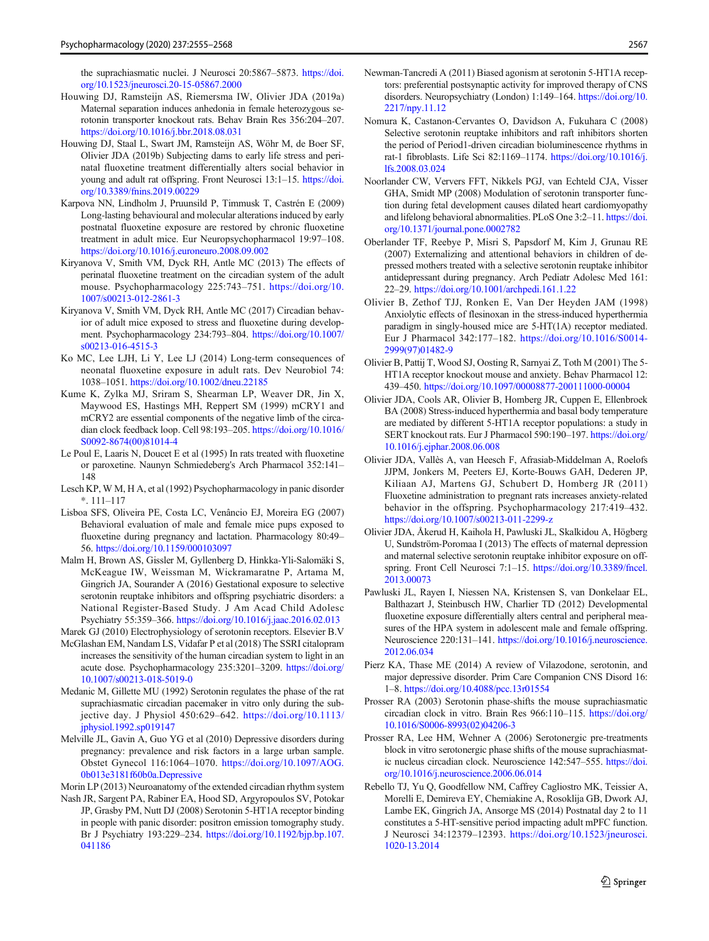<span id="page-12-0"></span>the suprachiasmatic nuclei. J Neurosci 20:5867–5873. [https://doi.](https://doi.org/10.1523/jneurosci.20-15-05867.2000) [org/10.1523/jneurosci.20-15-05867.2000](https://doi.org/10.1523/jneurosci.20-15-05867.2000)

- Houwing DJ, Ramsteijn AS, Riemersma IW, Olivier JDA (2019a) Maternal separation induces anhedonia in female heterozygous serotonin transporter knockout rats. Behav Brain Res 356:204–207. <https://doi.org/10.1016/j.bbr.2018.08.031>
- Houwing DJ, Staal L, Swart JM, Ramsteijn AS, Wöhr M, de Boer SF, Olivier JDA (2019b) Subjecting dams to early life stress and perinatal fluoxetine treatment differentially alters social behavior in young and adult rat offspring. Front Neurosci 13:1–15. [https://doi.](https://doi.org/10.3389/fnins.2019.00229) [org/10.3389/fnins.2019.00229](https://doi.org/10.3389/fnins.2019.00229)
- Karpova NN, Lindholm J, Pruunsild P, Timmusk T, Castrén E (2009) Long-lasting behavioural and molecular alterations induced by early postnatal fluoxetine exposure are restored by chronic fluoxetine treatment in adult mice. Eur Neuropsychopharmacol 19:97–108. <https://doi.org/10.1016/j.euroneuro.2008.09.002>
- Kiryanova V, Smith VM, Dyck RH, Antle MC (2013) The effects of perinatal fluoxetine treatment on the circadian system of the adult mouse. Psychopharmacology 225:743–751. [https://doi.org/10.](https://doi.org/10.1007/s00213-012-2861-3) [1007/s00213-012-2861-3](https://doi.org/10.1007/s00213-012-2861-3)
- Kiryanova V, Smith VM, Dyck RH, Antle MC (2017) Circadian behavior of adult mice exposed to stress and fluoxetine during development. Psychopharmacology 234:793–804. [https://doi.org/10.1007/](https://doi.org/10.1007/s00213-016-4515-3) [s00213-016-4515-3](https://doi.org/10.1007/s00213-016-4515-3)
- Ko MC, Lee LJH, Li Y, Lee LJ (2014) Long-term consequences of neonatal fluoxetine exposure in adult rats. Dev Neurobiol 74: 1038–1051. <https://doi.org/10.1002/dneu.22185>
- Kume K, Zylka MJ, Sriram S, Shearman LP, Weaver DR, Jin X, Maywood ES, Hastings MH, Reppert SM (1999) mCRY1 and mCRY2 are essential components of the negative limb of the circadian clock feedback loop. Cell 98:193–205. [https://doi.org/10.1016/](https://doi.org/10.1016/S0092-8674(00)81014-4) [S0092-8674\(00\)81014-4](https://doi.org/10.1016/S0092-8674(00)81014-4)
- Le Poul E, Laaris N, Doucet E et al (1995) In rats treated with fluoxetine or paroxetine. Naunyn Schmiedeberg's Arch Pharmacol 352:141– 148
- Lesch KP, W M, H A, et al (1992) Psychopharmacology in panic disorder \*. 111–117
- Lisboa SFS, Oliveira PE, Costa LC, Venâncio EJ, Moreira EG (2007) Behavioral evaluation of male and female mice pups exposed to fluoxetine during pregnancy and lactation. Pharmacology 80:49– 56. <https://doi.org/10.1159/000103097>
- Malm H, Brown AS, Gissler M, Gyllenberg D, Hinkka-Yli-Salomäki S, McKeague IW, Weissman M, Wickramaratne P, Artama M, Gingrich JA, Sourander A (2016) Gestational exposure to selective serotonin reuptake inhibitors and offspring psychiatric disorders: a National Register-Based Study. J Am Acad Child Adolesc Psychiatry 55:359–366. <https://doi.org/10.1016/j.jaac.2016.02.013>
- Marek GJ (2010) Electrophysiology of serotonin receptors. Elsevier B.V
- McGlashan EM, Nandam LS, Vidafar P et al (2018) The SSRI citalopram increases the sensitivity of the human circadian system to light in an acute dose. Psychopharmacology 235:3201–3209. [https://doi.org/](https://doi.org/10.1007/s00213-018-5019-0) [10.1007/s00213-018-5019-0](https://doi.org/10.1007/s00213-018-5019-0)
- Medanic M, Gillette MU (1992) Serotonin regulates the phase of the rat suprachiasmatic circadian pacemaker in vitro only during the subjective day. J Physiol 450:629–642. [https://doi.org/10.1113/](https://doi.org/10.1113/jphysiol.1992.sp019147) [jphysiol.1992.sp019147](https://doi.org/10.1113/jphysiol.1992.sp019147)
- Melville JL, Gavin A, Guo YG et al (2010) Depressive disorders during pregnancy: prevalence and risk factors in a large urban sample. Obstet Gynecol 116:1064–1070. [https://doi.org/10.1097/AOG.](https://doi.org/10.1097/AOG.0b013e3181f60b0a.Depressive) [0b013e3181f60b0a.Depressive](https://doi.org/10.1097/AOG.0b013e3181f60b0a.Depressive)
- Morin LP (2013) Neuroanatomy of the extended circadian rhythm system
- Nash JR, Sargent PA, Rabiner EA, Hood SD, Argyropoulos SV, Potokar JP, Grasby PM, Nutt DJ (2008) Serotonin 5-HT1A receptor binding in people with panic disorder: positron emission tomography study. Br J Psychiatry 193:229–234. [https://doi.org/10.1192/bjp.bp.107.](https://doi.org/10.1192/bjp.bp.107.041186) [041186](https://doi.org/10.1192/bjp.bp.107.041186)
- Newman-Tancredi A (2011) Biased agonism at serotonin 5-HT1A receptors: preferential postsynaptic activity for improved therapy of CNS disorders. Neuropsychiatry (London) 1:149–164. [https://doi.org/10.](https://doi.org/10.2217/npy.11.12) [2217/npy.11.12](https://doi.org/10.2217/npy.11.12)
- Nomura K, Castanon-Cervantes O, Davidson A, Fukuhara C (2008) Selective serotonin reuptake inhibitors and raft inhibitors shorten the period of Period1-driven circadian bioluminescence rhythms in rat-1 fibroblasts. Life Sci 82:1169–1174. [https://doi.org/10.1016/j.](https://doi.org/10.1016/j.lfs.2008.03.024) [lfs.2008.03.024](https://doi.org/10.1016/j.lfs.2008.03.024)
- Noorlander CW, Ververs FFT, Nikkels PGJ, van Echteld CJA, Visser GHA, Smidt MP (2008) Modulation of serotonin transporter function during fetal development causes dilated heart cardiomyopathy and lifelong behavioral abnormalities. PLoS One 3:2–11. [https://doi.](https://doi.org/10.1371/journal.pone.0002782) [org/10.1371/journal.pone.0002782](https://doi.org/10.1371/journal.pone.0002782)
- Oberlander TF, Reebye P, Misri S, Papsdorf M, Kim J, Grunau RE (2007) Externalizing and attentional behaviors in children of depressed mothers treated with a selective serotonin reuptake inhibitor antidepressant during pregnancy. Arch Pediatr Adolesc Med 161: 22–29. <https://doi.org/10.1001/archpedi.161.1.22>
- Olivier B, Zethof TJJ, Ronken E, Van Der Heyden JAM (1998) Anxiolytic effects of flesinoxan in the stress-induced hyperthermia paradigm in singly-housed mice are 5-HT(1A) receptor mediated. Eur J Pharmacol 342:177–182. [https://doi.org/10.1016/S0014-](https://doi.org/10.1016/S0014-2999(97)01482-9) [2999\(97\)01482-9](https://doi.org/10.1016/S0014-2999(97)01482-9)
- Olivier B, Pattij T, Wood SJ, Oosting R, Sarnyai Z, Toth M (2001) The 5- HT1A receptor knockout mouse and anxiety. Behav Pharmacol 12: 439–450. <https://doi.org/10.1097/00008877-200111000-00004>
- Olivier JDA, Cools AR, Olivier B, Homberg JR, Cuppen E, Ellenbroek BA (2008) Stress-induced hyperthermia and basal body temperature are mediated by different 5-HT1A receptor populations: a study in SERT knockout rats. Eur J Pharmacol 590:190–197. [https://doi.org/](https://doi.org/10.1016/j.ejphar.2008.06.008) [10.1016/j.ejphar.2008.06.008](https://doi.org/10.1016/j.ejphar.2008.06.008)
- Olivier JDA, Vallès A, van Heesch F, Afrasiab-Middelman A, Roelofs JJPM, Jonkers M, Peeters EJ, Korte-Bouws GAH, Dederen JP, Kiliaan AJ, Martens GJ, Schubert D, Homberg JR (2011) Fluoxetine administration to pregnant rats increases anxiety-related behavior in the offspring. Psychopharmacology 217:419–432. <https://doi.org/10.1007/s00213-011-2299-z>
- Olivier JDA, Åkerud H, Kaihola H, Pawluski JL, Skalkidou A, Högberg U, Sundström-Poromaa I (2013) The effects of maternal depression and maternal selective serotonin reuptake inhibitor exposure on offspring. Front Cell Neurosci 7:1–15. [https://doi.org/10.3389/fncel.](https://doi.org/10.3389/fncel.2013.00073) [2013.00073](https://doi.org/10.3389/fncel.2013.00073)
- Pawluski JL, Rayen I, Niessen NA, Kristensen S, van Donkelaar EL, Balthazart J, Steinbusch HW, Charlier TD (2012) Developmental fluoxetine exposure differentially alters central and peripheral measures of the HPA system in adolescent male and female offspring. Neuroscience 220:131–141. [https://doi.org/10.1016/j.neuroscience.](https://doi.org/10.1016/j.neuroscience.2012.06.034) [2012.06.034](https://doi.org/10.1016/j.neuroscience.2012.06.034)
- Pierz KA, Thase ME (2014) A review of Vilazodone, serotonin, and major depressive disorder. Prim Care Companion CNS Disord 16: 1–8. <https://doi.org/10.4088/pcc.13r01554>
- Prosser RA (2003) Serotonin phase-shifts the mouse suprachiasmatic circadian clock in vitro. Brain Res 966:110–115. [https://doi.org/](https://doi.org/10.1016/S0006-8993(02)04206-3) [10.1016/S0006-8993\(02\)04206-3](https://doi.org/10.1016/S0006-8993(02)04206-3)
- Prosser RA, Lee HM, Wehner A (2006) Serotonergic pre-treatments block in vitro serotonergic phase shifts of the mouse suprachiasmatic nucleus circadian clock. Neuroscience 142:547–555. [https://doi.](https://doi.org/10.1016/j.neuroscience.2006.06.014) [org/10.1016/j.neuroscience.2006.06.014](https://doi.org/10.1016/j.neuroscience.2006.06.014)
- Rebello TJ, Yu Q, Goodfellow NM, Caffrey Cagliostro MK, Teissier A, Morelli E, Demireva EY, Chemiakine A, Rosoklija GB, Dwork AJ, Lambe EK, Gingrich JA, Ansorge MS (2014) Postnatal day 2 to 11 constitutes a 5-HT-sensitive period impacting adult mPFC function. J Neurosci 34:12379–12393. [https://doi.org/10.1523/jneurosci.](https://doi.org/10.1523/jneurosci.1020-13.2014) [1020-13.2014](https://doi.org/10.1523/jneurosci.1020-13.2014)